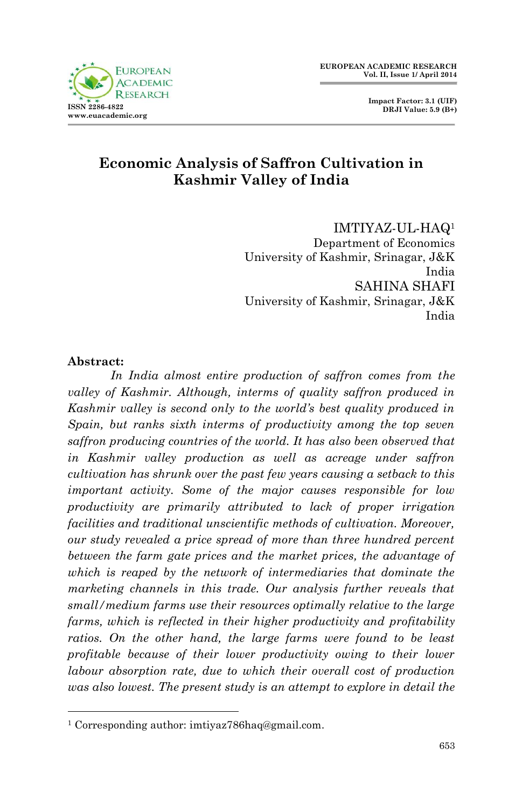

## **Economic Analysis of Saffron Cultivation in Kashmir Valley of India**

IMTIYAZ-UL-HAQ<sup>1</sup> Department of Economics University of Kashmir, Srinagar, J&K India SAHINA SHAFI University of Kashmir, Srinagar, J&K India

#### **Abstract:**

1

*In India almost entire production of saffron comes from the valley of Kashmir. Although, interms of quality saffron produced in Kashmir valley is second only to the world's best quality produced in Spain, but ranks sixth interms of productivity among the top seven saffron producing countries of the world. It has also been observed that in Kashmir valley production as well as acreage under saffron cultivation has shrunk over the past few years causing a setback to this important activity. Some of the major causes responsible for low productivity are primarily attributed to lack of proper irrigation facilities and traditional unscientific methods of cultivation. Moreover, our study revealed a price spread of more than three hundred percent*  between the farm gate prices and the market prices, the advantage of *which is reaped by the network of intermediaries that dominate the marketing channels in this trade. Our analysis further reveals that small/medium farms use their resources optimally relative to the large farms, which is reflected in their higher productivity and profitability*  ratios. On the other hand, the large farms were found to be least *profitable because of their lower productivity owing to their lower labour absorption rate, due to which their overall cost of production was also lowest. The present study is an attempt to explore in detail the* 

<sup>1</sup> Corresponding author[: imtiyaz786haq@gmail.com.](mailto:imtiyaz786haq@gmail.com)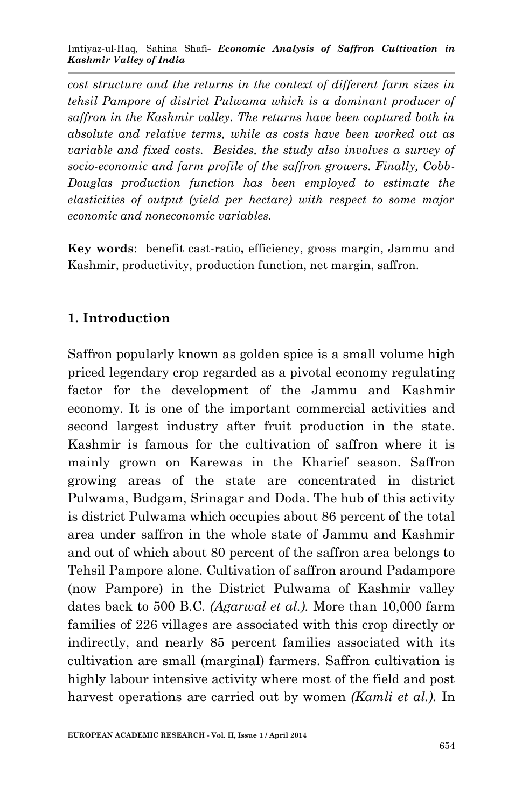Imtiyaz-ul-Haq, Sahina Shafi*- Economic Analysis of Saffron Cultivation in Kashmir Valley of India*

*cost structure and the returns in the context of different farm sizes in tehsil Pampore of district Pulwama which is a dominant producer of saffron in the Kashmir valley. The returns have been captured both in absolute and relative terms, while as costs have been worked out as variable and fixed costs. Besides, the study also involves a survey of socio-economic and farm profile of the saffron growers. Finally, Cobb-Douglas production function has been employed to estimate the elasticities of output (yield per hectare) with respect to some major economic and noneconomic variables.*

**Key words**: benefit cast-ratio**,** efficiency, gross margin, Jammu and Kashmir, productivity, production function, net margin, saffron.

## **1. Introduction**

Saffron popularly known as golden spice is a small volume high priced legendary crop regarded as a pivotal economy regulating factor for the development of the Jammu and Kashmir economy. It is one of the important commercial activities and second largest industry after fruit production in the state. Kashmir is famous for the cultivation of saffron where it is mainly grown on Karewas in the Kharief season. Saffron growing areas of the state are concentrated in district Pulwama, Budgam, Srinagar and Doda. The hub of this activity is district Pulwama which occupies about 86 percent of the total area under saffron in the whole state of Jammu and Kashmir and out of which about 80 percent of the saffron area belongs to Tehsil Pampore alone. Cultivation of saffron around Padampore (now Pampore) in the District Pulwama of Kashmir valley dates back to 500 B.C*. (Agarwal et al.).* More than 10,000 farm families of 226 villages are associated with this crop directly or indirectly, and nearly 85 percent families associated with its cultivation are small (marginal) farmers. Saffron cultivation is highly labour intensive activity where most of the field and post harvest operations are carried out by women *(Kamli et al.).* In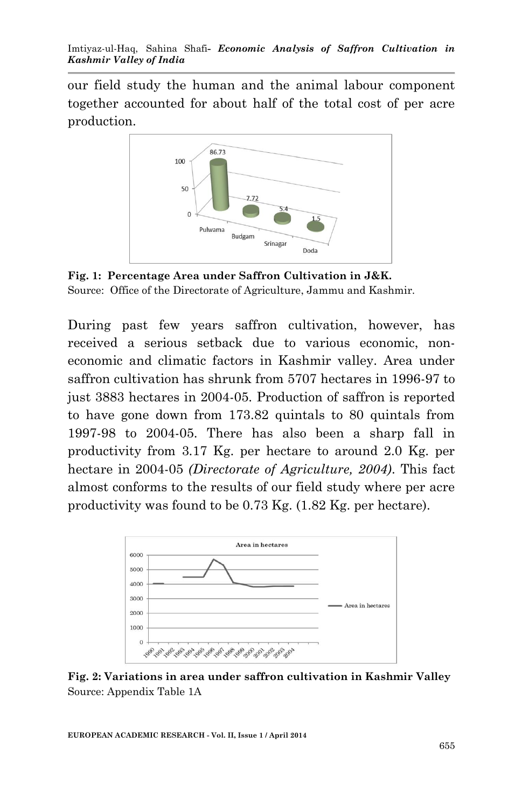our field study the human and the animal labour component together accounted for about half of the total cost of per acre production.



**Fig. 1: Percentage Area under Saffron Cultivation in J&K.** Source: Office of the Directorate of Agriculture, Jammu and Kashmir.

During past few years saffron cultivation, however, has received a serious setback due to various economic, noneconomic and climatic factors in Kashmir valley. Area under saffron cultivation has shrunk from 5707 hectares in 1996-97 to just 3883 hectares in 2004-05. Production of saffron is reported to have gone down from 173.82 quintals to 80 quintals from 1997-98 to 2004-05. There has also been a sharp fall in productivity from 3.17 Kg. per hectare to around 2.0 Kg. per hectare in 2004-05 *(Directorate of Agriculture, 2004)*. This fact almost conforms to the results of our field study where per acre productivity was found to be 0.73 Kg. (1.82 Kg. per hectare).



**Fig. 2: Variations in area under saffron cultivation in Kashmir Valley** Source: Appendix Table 1A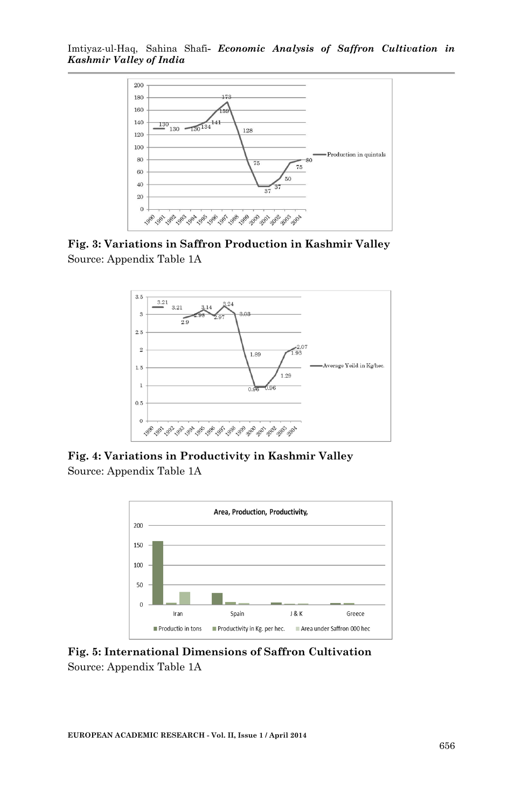

**Fig. 3: Variations in Saffron Production in Kashmir Valley**  Source: Appendix Table 1A



**Fig. 4: Variations in Productivity in Kashmir Valley** Source: Appendix Table 1A



**Fig. 5: International Dimensions of Saffron Cultivation** Source: Appendix Table 1A

**EUROPEAN ACADEMIC RESEARCH - Vol. II, Issue 1 / April 2014**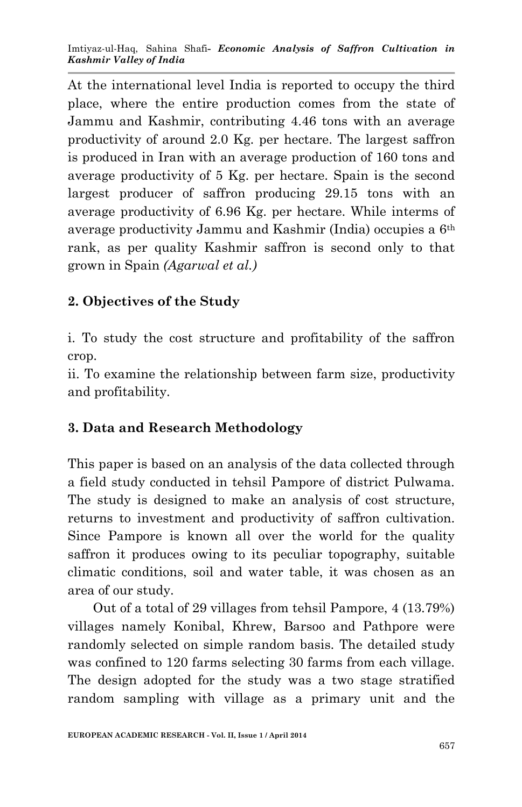At the international level India is reported to occupy the third place, where the entire production comes from the state of Jammu and Kashmir, contributing 4.46 tons with an average productivity of around 2.0 Kg. per hectare. The largest saffron is produced in Iran with an average production of 160 tons and average productivity of 5 Kg. per hectare. Spain is the second largest producer of saffron producing 29.15 tons with an average productivity of 6.96 Kg. per hectare. While interms of average productivity Jammu and Kashmir (India) occupies a 6th rank, as per quality Kashmir saffron is second only to that grown in Spain *(Agarwal et al.)*

# **2. Objectives of the Study**

i. To study the cost structure and profitability of the saffron crop.

ii. To examine the relationship between farm size, productivity and profitability.

# **3. Data and Research Methodology**

This paper is based on an analysis of the data collected through a field study conducted in tehsil Pampore of district Pulwama. The study is designed to make an analysis of cost structure, returns to investment and productivity of saffron cultivation. Since Pampore is known all over the world for the quality saffron it produces owing to its peculiar topography, suitable climatic conditions, soil and water table, it was chosen as an area of our study.

 Out of a total of 29 villages from tehsil Pampore, 4 (13.79%) villages namely Konibal, Khrew, Barsoo and Pathpore were randomly selected on simple random basis. The detailed study was confined to 120 farms selecting 30 farms from each village. The design adopted for the study was a two stage stratified random sampling with village as a primary unit and the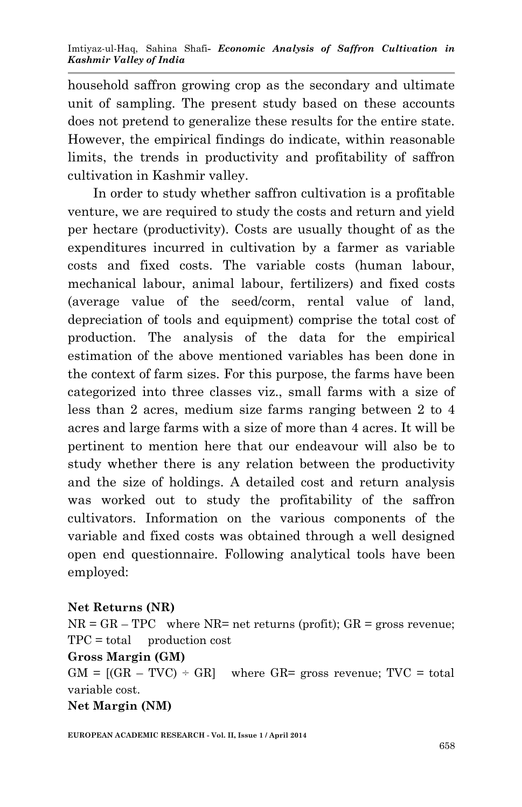household saffron growing crop as the secondary and ultimate unit of sampling. The present study based on these accounts does not pretend to generalize these results for the entire state. However, the empirical findings do indicate, within reasonable limits, the trends in productivity and profitability of saffron cultivation in Kashmir valley.

 In order to study whether saffron cultivation is a profitable venture, we are required to study the costs and return and yield per hectare (productivity). Costs are usually thought of as the expenditures incurred in cultivation by a farmer as variable costs and fixed costs. The variable costs (human labour, mechanical labour, animal labour, fertilizers) and fixed costs (average value of the seed/corm, rental value of land, depreciation of tools and equipment) comprise the total cost of production. The analysis of the data for the empirical estimation of the above mentioned variables has been done in the context of farm sizes. For this purpose, the farms have been categorized into three classes viz., small farms with a size of less than 2 acres, medium size farms ranging between 2 to 4 acres and large farms with a size of more than 4 acres. It will be pertinent to mention here that our endeavour will also be to study whether there is any relation between the productivity and the size of holdings. A detailed cost and return analysis was worked out to study the profitability of the saffron cultivators. Information on the various components of the variable and fixed costs was obtained through a well designed open end questionnaire. Following analytical tools have been employed:

#### **Net Returns (NR)**

 $NR = GR - TPC$  where  $NR = net$  returns (profit);  $GR = gross$  revenue;  $TPC = total$  production cost

#### **Gross Margin (GM)**

 $GM = [(GR - TVC) \div GR]$  where GR= gross revenue; TVC = total variable cost.

#### **Net Margin (NM)**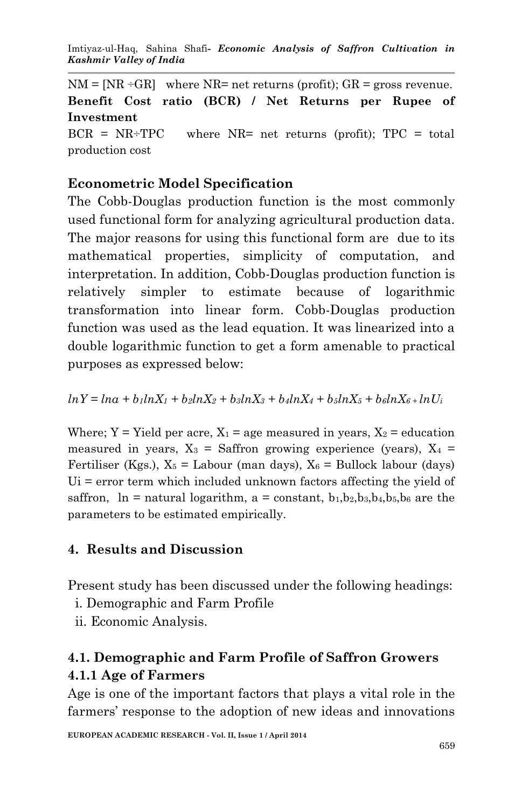Imtiyaz-ul-Haq, Sahina Shafi*- Economic Analysis of Saffron Cultivation in Kashmir Valley of India*

 $NM = [NR \div GR]$  where  $NR = net$  returns (profit);  $GR = gross$  revenue. **Benefit Cost ratio (BCR) / Net Returns per Rupee of Investment**  $BCR = NR+TPC$  where  $NR=$  net returns (profit);  $TPC = total$ production cost

### **Econometric Model Specification**

The Cobb-Douglas production function is the most commonly used functional form for analyzing agricultural production data. The major reasons for using this functional form are due to its mathematical properties, simplicity of computation, and interpretation. In addition, Cobb-Douglas production function is relatively simpler to estimate because of logarithmic transformation into linear form. Cobb-Douglas production function was used as the lead equation. It was linearized into a double logarithmic function to get a form amenable to practical purposes as expressed below:

 $ln Y = ln \alpha + b_1 ln X_1 + b_2 ln X_2 + b_3 ln X_3 + b_4 ln X_4 + b_5 ln X_5 + b_6 ln X_6 + ln U_1$ 

Where;  $Y = Yield$  per acre,  $X_1 = age$  measured in years,  $X_2 = education$ measured in years,  $X_3$  = Saffron growing experience (years),  $X_4$  = Fertiliser (Kgs.),  $X_5 =$  Labour (man days),  $X_6 =$  Bullock labour (days) Ui = error term which included unknown factors affecting the yield of saffron,  $\ln$  = natural logarithm, a = constant, b<sub>1</sub>,b<sub>2</sub>,b<sub>3</sub>,b<sub>4</sub>,b<sub>5</sub>,b<sub>6</sub> are the parameters to be estimated empirically.

### **4. Results and Discussion**

Present study has been discussed under the following headings:

- i. Demographic and Farm Profile
- ii. Economic Analysis.

# **4.1. Demographic and Farm Profile of Saffron Growers 4.1.1 Age of Farmers**

Age is one of the important factors that plays a vital role in the farmers' response to the adoption of new ideas and innovations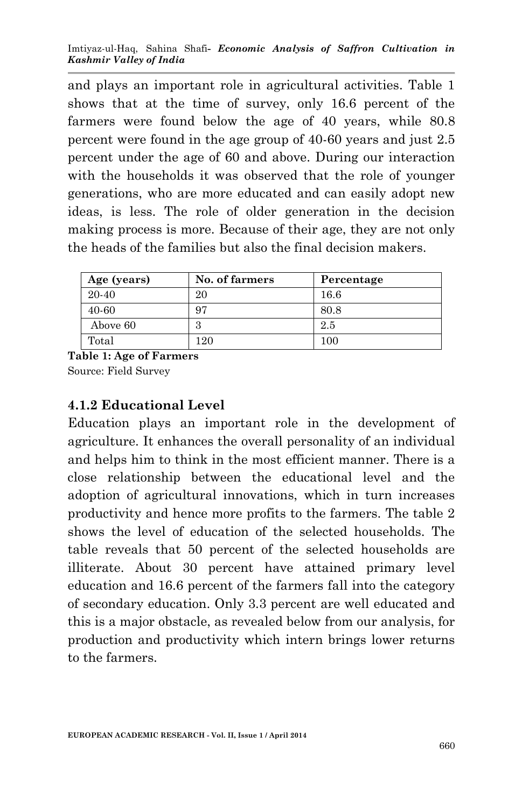and plays an important role in agricultural activities. Table 1 shows that at the time of survey, only 16.6 percent of the farmers were found below the age of 40 years, while 80.8 percent were found in the age group of 40-60 years and just 2.5 percent under the age of 60 and above. During our interaction with the households it was observed that the role of younger generations, who are more educated and can easily adopt new ideas, is less. The role of older generation in the decision making process is more. Because of their age, they are not only the heads of the families but also the final decision makers.

| Age (years) | No. of farmers | Percentage |
|-------------|----------------|------------|
| 20-40       | 20             | 16.6       |
| 40-60       | 97             | 80.8       |
| Above 60    | 9<br>Ð         | 2.5        |
| Total       | 20             | 100        |

**Table 1: Age of Farmers** Source: Field Survey

## **4.1.2 Educational Level**

Education plays an important role in the development of agriculture. It enhances the overall personality of an individual and helps him to think in the most efficient manner. There is a close relationship between the educational level and the adoption of agricultural innovations, which in turn increases productivity and hence more profits to the farmers. The table 2 shows the level of education of the selected households. The table reveals that 50 percent of the selected households are illiterate. About 30 percent have attained primary level education and 16.6 percent of the farmers fall into the category of secondary education. Only 3.3 percent are well educated and this is a major obstacle, as revealed below from our analysis, for production and productivity which intern brings lower returns to the farmers.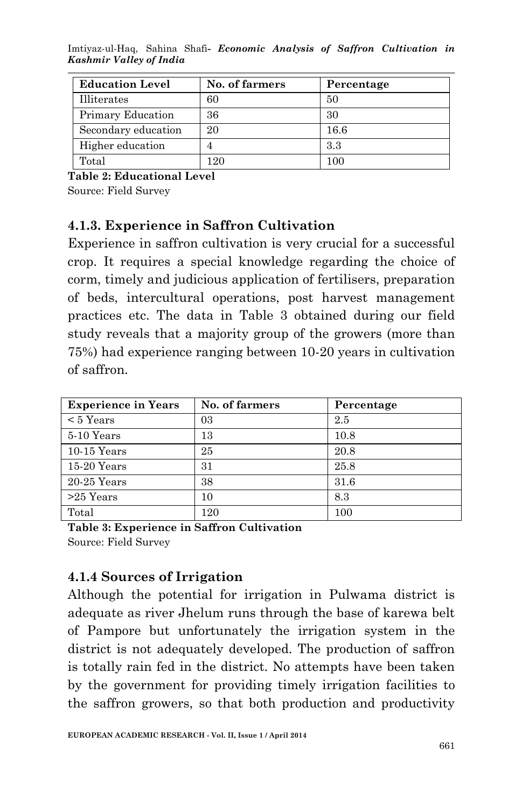Imtiyaz-ul-Haq, Sahina Shafi*- Economic Analysis of Saffron Cultivation in Kashmir Valley of India*

| <b>Education Level</b> | No. of farmers | Percentage |
|------------------------|----------------|------------|
| Illiterates            | 60             | 50         |
| Primary Education      | 36             | 30         |
| Secondary education    | 20             | 16.6       |
| Higher education       |                | 3.3        |
| Total                  | 120            | 100        |

**Table 2: Educational Level**

Source: Field Survey

### **4.1.3. Experience in Saffron Cultivation**

Experience in saffron cultivation is very crucial for a successful crop. It requires a special knowledge regarding the choice of corm, timely and judicious application of fertilisers, preparation of beds, intercultural operations, post harvest management practices etc. The data in Table 3 obtained during our field study reveals that a majority group of the growers (more than 75%) had experience ranging between 10-20 years in cultivation of saffron.

| <b>Experience in Years</b> | No. of farmers | Percentage |
|----------------------------|----------------|------------|
| $< 5$ Years                | 03             | 2.5        |
| 5-10 Years                 | 13             | 10.8       |
| $10-15$ Years              | 25             | 20.8       |
| $15-20$ Years              | 31             | 25.8       |
| $20-25$ Years              | 38             | 31.6       |
| $>25$ Years                | 10             | 8.3        |
| Total                      | 120            | 100        |

**Table 3: Experience in Saffron Cultivation**  Source: Field Survey

### **4.1.4 Sources of Irrigation**

Although the potential for irrigation in Pulwama district is adequate as river Jhelum runs through the base of karewa belt of Pampore but unfortunately the irrigation system in the district is not adequately developed. The production of saffron is totally rain fed in the district. No attempts have been taken by the government for providing timely irrigation facilities to the saffron growers, so that both production and productivity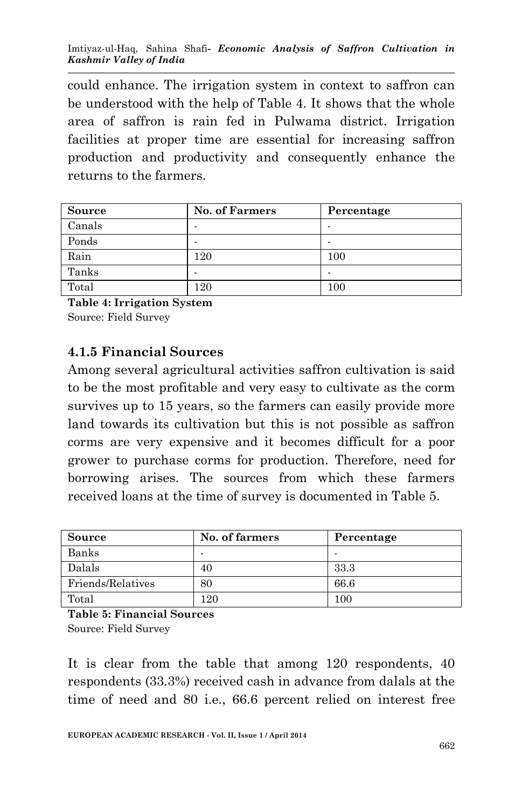could enhance. The irrigation system in context to saffron can be understood with the help of Table 4. It shows that the whole area of saffron is rain fed in Pulwama district. Irrigation facilities at proper time are essential for increasing saffron production and productivity and consequently enhance the returns to the farmers.

| <b>Source</b> | <b>No. of Farmers</b> | Percentage |
|---------------|-----------------------|------------|
| Canals        |                       |            |
| Ponds         |                       |            |
| Rain          | 120                   | 100        |
| Tanks         |                       |            |
| Total         | 120                   | 100        |

**Table 4: Irrigation System**  Source: Field Survey

## **4.1.5 Financial Sources**

Among several agricultural activities saffron cultivation is said to be the most profitable and very easy to cultivate as the corm survives up to 15 years, so the farmers can easily provide more land towards its cultivation but this is not possible as saffron corms are very expensive and it becomes difficult for a poor grower to purchase corms for production. Therefore, need for borrowing arises. The sources from which these farmers received loans at the time of survey is documented in Table 5.

| Source            | No. of farmers | Percentage |
|-------------------|----------------|------------|
| Banks             | -              |            |
| <b>Dalals</b>     | 40             | 33.3       |
| Friends/Relatives | 80             | 66.6       |
| Total             | 120            | 100        |

**Table 5: Financial Sources**  Source: Field Survey

It is clear from the table that among 120 respondents, 40 respondents (33.3%) received cash in advance from dalals at the time of need and 80 i.e., 66.6 percent relied on interest free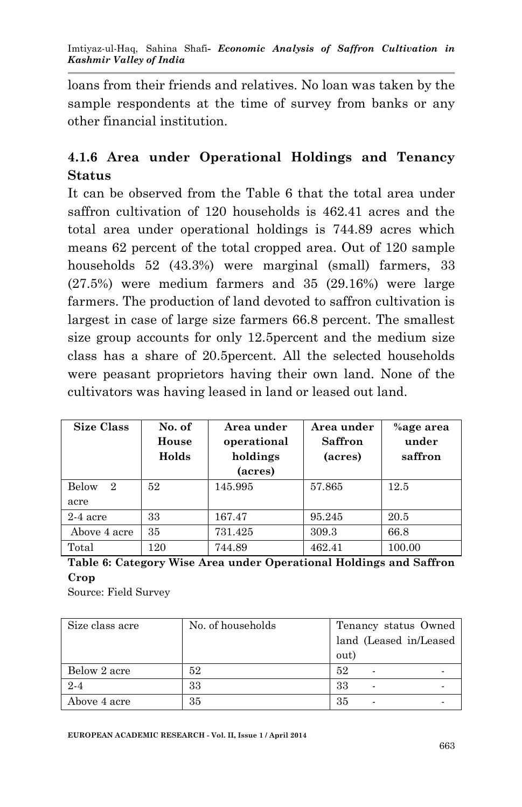loans from their friends and relatives. No loan was taken by the sample respondents at the time of survey from banks or any other financial institution.

# **4.1.6 Area under Operational Holdings and Tenancy Status**

It can be observed from the Table 6 that the total area under saffron cultivation of 120 households is 462.41 acres and the total area under operational holdings is 744.89 acres which means 62 percent of the total cropped area. Out of 120 sample households 52 (43.3%) were marginal (small) farmers, 33 (27.5%) were medium farmers and 35 (29.16%) were large farmers. The production of land devoted to saffron cultivation is largest in case of large size farmers 66.8 percent. The smallest size group accounts for only 12.5percent and the medium size class has a share of 20.5percent. All the selected households were peasant proprietors having their own land. None of the cultivators was having leased in land or leased out land.

| <b>Size Class</b>                    | No. of<br>House<br>Holds | Area under<br>operational<br>holdings<br>(acres) | Area under<br><b>Saffron</b><br>(acres) | %age area<br>under<br>saffron |
|--------------------------------------|--------------------------|--------------------------------------------------|-----------------------------------------|-------------------------------|
| Below<br>$\mathcal{D}_{\mathcal{L}}$ | 52                       | 145.995                                          | 57.865                                  | 12.5                          |
| acre                                 |                          |                                                  |                                         |                               |
| $2-4$ acre                           | 33                       | 167.47                                           | 95.245                                  | 20.5                          |
| Above 4 acre                         | 35                       | 731.425                                          | 309.3                                   | 66.8                          |
| Total                                | 120                      | 744.89                                           | 462.41                                  | 100.00                        |

**Table 6: Category Wise Area under Operational Holdings and Saffron Crop**

Source: Field Survey

| Size class acre | No. of households | Tenancy status Owned   |  |  |
|-----------------|-------------------|------------------------|--|--|
|                 |                   | land (Leased in/Leased |  |  |
|                 |                   | out)                   |  |  |
| Below 2 acre    | 52                | 52<br>-                |  |  |
| $2 - 4$         | 33                | 33                     |  |  |
| Above 4 acre    | 35                | 35                     |  |  |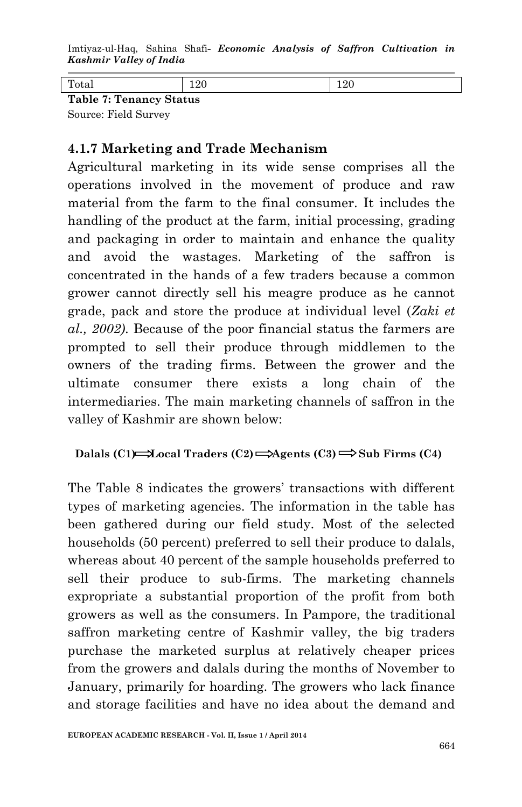Imtiyaz-ul-Haq, Sahina Shafi*- Economic Analysis of Saffron Cultivation in Kashmir Valley of India*

| $7.$ Tononov $\mathcal{Q}_{\text{total}}$<br>$T_0$ kla |  |  |  |  |  |  |
|--------------------------------------------------------|--|--|--|--|--|--|

**Table 7: Tenancy Status** Source: Field Survey

### **4.1.7 Marketing and Trade Mechanism**

Agricultural marketing in its wide sense comprises all the operations involved in the movement of produce and raw material from the farm to the final consumer. It includes the handling of the product at the farm, initial processing, grading and packaging in order to maintain and enhance the quality and avoid the wastages. Marketing of the saffron is concentrated in the hands of a few traders because a common grower cannot directly sell his meagre produce as he cannot grade, pack and store the produce at individual level (*Zaki et al., 2002)*. Because of the poor financial status the farmers are prompted to sell their produce through middlemen to the owners of the trading firms. Between the grower and the ultimate consumer there exists a long chain of the intermediaries. The main marketing channels of saffron in the valley of Kashmir are shown below:

#### **Dalals (C1)**  $\rightarrow$  **Local Traders (C2)**  $\rightarrow$  Agents (C3)  $\rightarrow$  Sub Firms (C4)

The Table 8 indicates the growers' transactions with different types of marketing agencies. The information in the table has been gathered during our field study. Most of the selected households (50 percent) preferred to sell their produce to dalals, whereas about 40 percent of the sample households preferred to sell their produce to sub-firms. The marketing channels expropriate a substantial proportion of the profit from both growers as well as the consumers. In Pampore, the traditional saffron marketing centre of Kashmir valley, the big traders purchase the marketed surplus at relatively cheaper prices from the growers and dalals during the months of November to January, primarily for hoarding. The growers who lack finance and storage facilities and have no idea about the demand and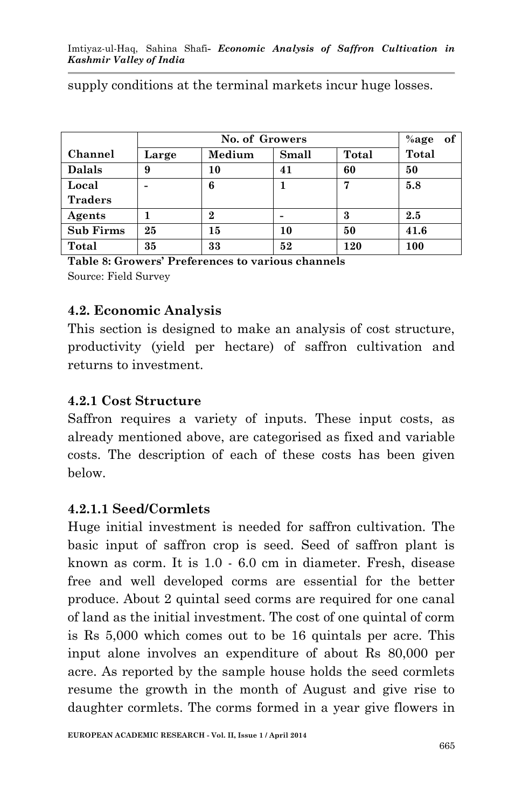|                  |       | No. of Growers |       |       |              |  |  |
|------------------|-------|----------------|-------|-------|--------------|--|--|
| Channel          | Large | Medium         | Small | Total | <b>Total</b> |  |  |
| <b>Dalals</b>    | 9     | 10             | 41    | 60    | 50           |  |  |
| Local            |       | 6              |       | 5.8   |              |  |  |
| <b>Traders</b>   |       |                |       |       |              |  |  |
| Agents           |       | 2              |       | 3     | 2.5          |  |  |
| <b>Sub Firms</b> | 25    | 15             | 10    | 50    | 41.6         |  |  |
| Total            | 35    | 33             | 52    | 120   | 100          |  |  |

supply conditions at the terminal markets incur huge losses.

**Table 8: Growers' Preferences to various channels** Source: Field Survey

### **4.2. Economic Analysis**

This section is designed to make an analysis of cost structure, productivity (yield per hectare) of saffron cultivation and returns to investment.

### **4.2.1 Cost Structure**

Saffron requires a variety of inputs. These input costs, as already mentioned above, are categorised as fixed and variable costs. The description of each of these costs has been given below.

### **4.2.1.1 Seed/Cormlets**

Huge initial investment is needed for saffron cultivation. The basic input of saffron crop is seed. Seed of saffron plant is known as corm. It is 1.0 - 6.0 cm in diameter. Fresh, disease free and well developed corms are essential for the better produce. About 2 quintal seed corms are required for one canal of land as the initial investment. The cost of one quintal of corm is Rs 5,000 which comes out to be 16 quintals per acre. This input alone involves an expenditure of about Rs 80,000 per acre. As reported by the sample house holds the seed cormlets resume the growth in the month of August and give rise to daughter cormlets. The corms formed in a year give flowers in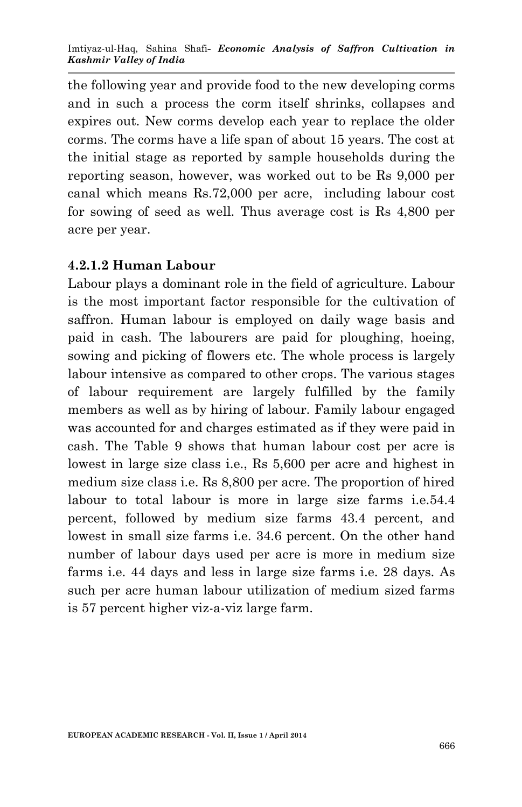the following year and provide food to the new developing corms and in such a process the corm itself shrinks, collapses and expires out. New corms develop each year to replace the older corms. The corms have a life span of about 15 years. The cost at the initial stage as reported by sample households during the reporting season, however, was worked out to be Rs 9,000 per canal which means Rs.72,000 per acre, including labour cost for sowing of seed as well. Thus average cost is Rs 4,800 per acre per year.

### **4.2.1.2 Human Labour**

Labour plays a dominant role in the field of agriculture. Labour is the most important factor responsible for the cultivation of saffron. Human labour is employed on daily wage basis and paid in cash. The labourers are paid for ploughing, hoeing, sowing and picking of flowers etc. The whole process is largely labour intensive as compared to other crops. The various stages of labour requirement are largely fulfilled by the family members as well as by hiring of labour. Family labour engaged was accounted for and charges estimated as if they were paid in cash. The Table 9 shows that human labour cost per acre is lowest in large size class i.e., Rs 5,600 per acre and highest in medium size class i.e. Rs 8,800 per acre. The proportion of hired labour to total labour is more in large size farms i.e.54.4 percent, followed by medium size farms 43.4 percent, and lowest in small size farms i.e. 34.6 percent. On the other hand number of labour days used per acre is more in medium size farms i.e. 44 days and less in large size farms i.e. 28 days. As such per acre human labour utilization of medium sized farms is 57 percent higher viz-a-viz large farm.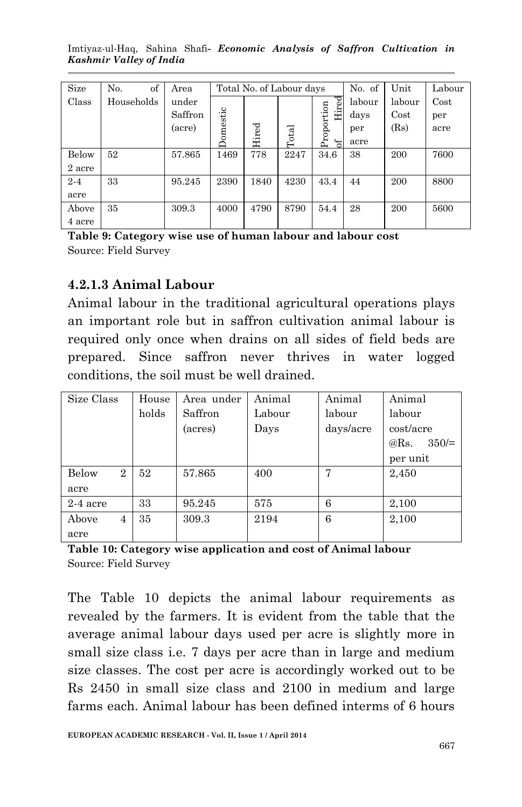Imtiyaz-ul-Haq, Sahina Shafi*- Economic Analysis of Saffron Cultivation in Kashmir Valley of India*

| Size    | No.<br>of  | Area    |          | Total No. of Labour days |       |                        |        | Unit   | Labour |
|---------|------------|---------|----------|--------------------------|-------|------------------------|--------|--------|--------|
| Class   | Households | under   |          |                          |       |                        | labour | labour | Cost   |
|         |            | Saffron |          |                          |       | Hired                  | days   | Cost   | per    |
|         |            | (acre)  | Domestic |                          |       |                        | per    | (Rs)   | acre   |
|         |            |         |          | Hired                    | Total | Proportion<br>$\sigma$ | acre   |        |        |
| Below   | 52         | 57.865  | 1469     | 778                      | 2247  | 34.6                   | 38     | 200    | 7600   |
| 2 acre  |            |         |          |                          |       |                        |        |        |        |
| $2 - 4$ | 33         | 95.245  | 2390     | 1840                     | 4230  | 43.4                   | 44     | 200    | 8800   |
| acre    |            |         |          |                          |       |                        |        |        |        |
| Above   | 35         | 309.3   | 4000     | 4790                     | 8790  | 54.4                   | 28     | 200    | 5600   |
| 4 acre  |            |         |          |                          |       |                        |        |        |        |

**Table 9: Category wise use of human labour and labour cost** Source: Field Survey

### **4.2.1.3 Animal Labour**

Animal labour in the traditional agricultural operations plays an important role but in saffron cultivation animal labour is required only once when drains on all sides of field beds are prepared. Since saffron never thrives in water logged conditions, the soil must be well drained.

| Size Class              | House | Area under | Animal<br>Animal |           | Animal       |  |
|-------------------------|-------|------------|------------------|-----------|--------------|--|
|                         | holds | Saffron    | Labour           | labour    | labour       |  |
|                         |       | (acres)    | Days             | days/acre | cost/acre    |  |
|                         |       |            |                  |           | 350/<br>@Rs. |  |
|                         |       |            |                  |           | per unit     |  |
| Below<br>$\overline{2}$ | 52    | 57.865     | 400              | 7         | 2,450        |  |
| acre                    |       |            |                  |           |              |  |
| $2-4$ acre              | 33    | 95.245     | 575              | 6         | 2,100        |  |
| Above<br>$\overline{4}$ | 35    | 309.3      | 2194             | 6         | 2,100        |  |
| acre                    |       |            |                  |           |              |  |

**Table 10: Category wise application and cost of Animal labour** Source: Field Survey

The Table 10 depicts the animal labour requirements as revealed by the farmers. It is evident from the table that the average animal labour days used per acre is slightly more in small size class i.e. 7 days per acre than in large and medium size classes. The cost per acre is accordingly worked out to be Rs 2450 in small size class and 2100 in medium and large farms each. Animal labour has been defined interms of 6 hours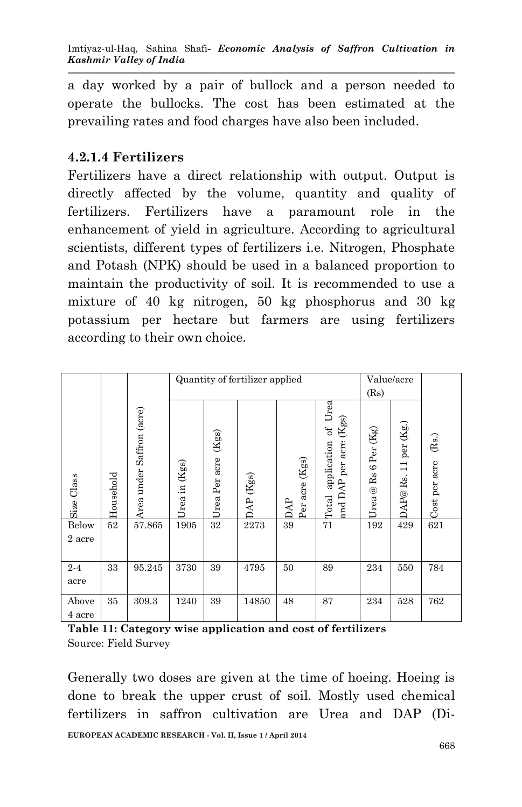a day worked by a pair of bullock and a person needed to operate the bullocks. The cost has been estimated at the prevailing rates and food charges have also been included.

## **4.2.1.4 Fertilizers**

Fertilizers have a direct relationship with output. Output is directly affected by the volume, quantity and quality of fertilizers. Fertilizers have a paramount role in the enhancement of yield in agriculture. According to agricultural scientists, different types of fertilizers i.e. Nitrogen, Phosphate and Potash (NPK) should be used in a balanced proportion to maintain the productivity of soil. It is recommended to use a mixture of 40 kg nitrogen, 50 kg phosphorus and 30 kg potassium per hectare but farmers are using fertilizers according to their own choice.

|                                                                |           |                           |               | Quantity of fertilizer applied<br>Value/acre |                     |                |                                                             |                        |                               |                        |
|----------------------------------------------------------------|-----------|---------------------------|---------------|----------------------------------------------|---------------------|----------------|-------------------------------------------------------------|------------------------|-------------------------------|------------------------|
|                                                                |           |                           |               |                                              |                     |                |                                                             | (Rs)                   |                               |                        |
| Size Class                                                     | Household | Area under Saffron (acre) | Jrea in (Kgs) | (Kgs)<br>Urea Per acre                       | $\Delta P$ (Kgs)    | Per acre (Kgs) | application of Urea<br>and DAP per acre (Kgs)<br>Total      | Urea @ Rs 6 Per $(Kg)$ | $\Delta P @$ Rs. 11 per (Kg.) | (Rs.)<br>Cost per acre |
| Below                                                          | $52\,$    | 57.865                    | 1905          | $\overline{32}$                              | 2273                | 39             | 71                                                          | 192                    | 429                           | 621                    |
| 2 acre                                                         |           |                           |               |                                              |                     |                |                                                             |                        |                               |                        |
| $2 - 4$                                                        | 33        | 95.245                    | 3730          | 39                                           | 4795                | 50             | 89                                                          | 234                    | 550                           | 784                    |
| acre                                                           |           |                           |               |                                              |                     |                |                                                             |                        |                               |                        |
| Above                                                          | 35        | 309.3                     | 1240          | 39                                           | 14850               | 48             | 87                                                          | 234                    | 528                           | 762                    |
| 4 acre                                                         |           |                           |               |                                              |                     |                |                                                             |                        |                               |                        |
|                                                                |           |                           |               |                                              |                     |                | Table 11: Category wise application and cost of fertilizers |                        |                               |                        |
|                                                                |           | Source: Field Survey      |               |                                              |                     |                |                                                             |                        |                               |                        |
|                                                                |           |                           |               |                                              |                     |                |                                                             |                        |                               |                        |
| Generally two doses are given at the time of hoeing. Hoeing is |           |                           |               |                                              |                     |                |                                                             |                        |                               |                        |
|                                                                |           |                           |               |                                              |                     |                | done to break the upper crust of soil. Mostly used chemical |                        |                               |                        |
|                                                                |           |                           |               |                                              |                     |                |                                                             |                        |                               |                        |
| fertilizers                                                    |           | in                        |               |                                              | saffron cultivation | are            | Urea                                                        | and                    | DAP                           | $(Di-$                 |

| Table 11: Category wise application and cost of fertilizers |  |  |
|-------------------------------------------------------------|--|--|
| Source: Field Survey                                        |  |  |

**EUROPEAN ACADEMIC RESEARCH - Vol. II, Issue 1 / April 2014** Generally two doses are given at the time of hoeing. Hoeing is done to break the upper crust of soil. Mostly used chemical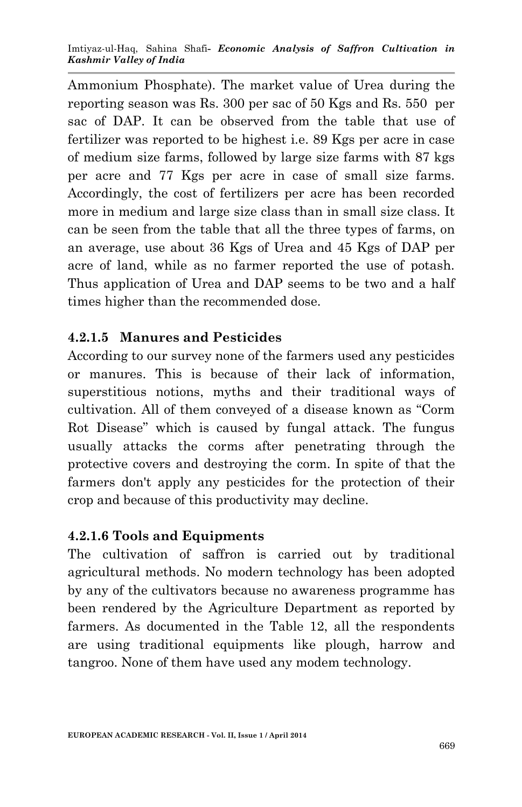Ammonium Phosphate). The market value of Urea during the reporting season was Rs. 300 per sac of 50 Kgs and Rs. 550 per sac of DAP. It can be observed from the table that use of fertilizer was reported to be highest i.e. 89 Kgs per acre in case of medium size farms, followed by large size farms with 87 kgs per acre and 77 Kgs per acre in case of small size farms. Accordingly, the cost of fertilizers per acre has been recorded more in medium and large size class than in small size class. It can be seen from the table that all the three types of farms, on an average, use about 36 Kgs of Urea and 45 Kgs of DAP per acre of land, while as no farmer reported the use of potash. Thus application of Urea and DAP seems to be two and a half times higher than the recommended dose.

# **4.2.1.5 Manures and Pesticides**

According to our survey none of the farmers used any pesticides or manures. This is because of their lack of information, superstitious notions, myths and their traditional ways of cultivation. All of them conveyed of a disease known as "Corm Rot Disease" which is caused by fungal attack. The fungus usually attacks the corms after penetrating through the protective covers and destroying the corm. In spite of that the farmers don't apply any pesticides for the protection of their crop and because of this productivity may decline.

### **4.2.1.6 Tools and Equipments**

The cultivation of saffron is carried out by traditional agricultural methods. No modern technology has been adopted by any of the cultivators because no awareness programme has been rendered by the Agriculture Department as reported by farmers. As documented in the Table 12, all the respondents are using traditional equipments like plough, harrow and tangroo. None of them have used any modem technology.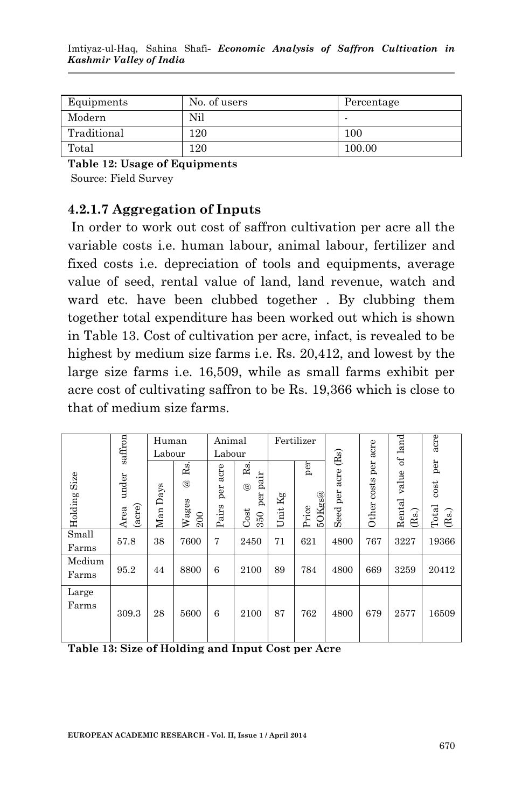| Equipments  | No. of users | Percentage |
|-------------|--------------|------------|
| Modern      | Nil          |            |
| Traditional | 120          | 100        |
| Total       | 120          | 100.00     |

**Table 12: Usage of Equipments**

Source: Field Survey

## **4.2.1.7 Aggregation of Inputs**

In order to work out cost of saffron cultivation per acre all the variable costs i.e. human labour, animal labour, fertilizer and fixed costs i.e. depreciation of tools and equipments, average value of seed, rental value of land, land revenue, watch and ward etc. have been clubbed together . By clubbing them together total expenditure has been worked out which is shown in Table 13. Cost of cultivation per acre, infact, is revealed to be highest by medium size farms i.e. Rs. 20,412, and lowest by the large size farms i.e. 16,509, while as small farms exhibit per acre cost of cultivating saffron to be Rs. 19,366 which is close to that of medium size farms.

|                                                   | saffron                 | Human<br>Labour |                                                  | Animal<br>Labour     |                                                     |                  | Fertilizer                       | (Rs)          |                      | $land$                                                        | acre                          |
|---------------------------------------------------|-------------------------|-----------------|--------------------------------------------------|----------------------|-----------------------------------------------------|------------------|----------------------------------|---------------|----------------------|---------------------------------------------------------------|-------------------------------|
| Size<br>Holding                                   | under<br>(acre)<br>Area | Man Days        | R <sub>3</sub><br>$^{\circledR}$<br>Wages<br>200 | acre<br>per<br>Pairs | Rs.<br>pair<br>$^{\circledR}$<br>per<br>Cost<br>350 | $\rm Kg$<br>Unit | per<br>$50\mathrm{Kgs}$<br>Price | Seed per acre | Other costs per acre | $\rm ^{6}$<br>value<br>Rental<br>$\left( \mathrm{Rs.}\right)$ | per<br>cost<br>Total<br>(Rs.) |
| Small<br>Farms                                    | 57.8                    | 38              | 7600                                             | 7                    | 2450                                                | 71               | 621                              | 4800          | 767                  | 3227                                                          | 19366                         |
| Medium<br>Farms                                   | 95.2                    | 44              | 8800                                             | 6                    | 2100                                                | 89               | 784                              | 4800          | 669                  | 3259                                                          | 20412                         |
| Large<br>Farms                                    | 309.3                   | 28              | 5600                                             | 6                    | 2100                                                | 87               | 762                              | 4800          | 679                  | 2577                                                          | 16509                         |
| Table 13: Size of Holding and Input Cost per Acre |                         |                 |                                                  |                      |                                                     |                  |                                  |               |                      |                                                               |                               |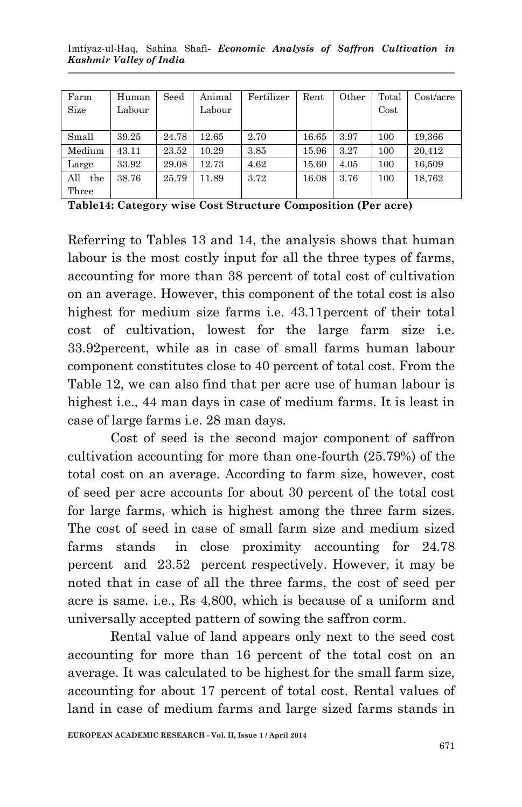| Imtiyaz-ul-Haq, Sahina Shafi- Economic Analysis of Saffron Cultivation in |  |  |  |  |
|---------------------------------------------------------------------------|--|--|--|--|
| Kashmir Valley of India                                                   |  |  |  |  |

| Farm       | Human  | Seed  | Animal | Fertilizer | Rent  | Other | Total    | Cost/acre |
|------------|--------|-------|--------|------------|-------|-------|----------|-----------|
| Size       | Labour |       | Labour |            |       |       | $\cos t$ |           |
|            |        |       |        |            |       |       |          |           |
| Small      | 39.25  | 24.78 | 12.65  | 2.70       | 16.65 | 3.97  | 100      | 19,366    |
| Medium     | 43.11  | 23.52 | 10.29  | 3.85       | 15.96 | 3.27  | 100      | 20,412    |
| Large      | 33.92  | 29.08 | 12.73  | 4.62       | 15.60 | 4.05  | 100      | 16,509    |
| All<br>the | 38.76  | 25.79 | 11.89  | 3.72       | 16.08 | 3.76  | 100      | 18.762    |
| Three      |        |       |        |            |       |       |          |           |

**Table14: Category wise Cost Structure Composition (Per acre)**

Referring to Tables 13 and 14, the analysis shows that human labour is the most costly input for all the three types of farms, accounting for more than 38 percent of total cost of cultivation on an average. However, this component of the total cost is also highest for medium size farms i.e. 43.11percent of their total cost of cultivation, lowest for the large farm size i.e. 33.92percent, while as in case of small farms human labour component constitutes close to 40 percent of total cost. From the Table 12, we can also find that per acre use of human labour is highest i.e., 44 man days in case of medium farms. It is least in case of large farms i.e. 28 man days.

Cost of seed is the second major component of saffron cultivation accounting for more than one-fourth (25.79%) of the total cost on an average. According to farm size, however, cost of seed per acre accounts for about 30 percent of the total cost for large farms, which is highest among the three farm sizes. The cost of seed in case of small farm size and medium sized farms stands in close proximity accounting for 24.78 percent and 23.52 percent respectively. However, it may be noted that in case of all the three farms, the cost of seed per acre is same. i.e., Rs 4,800, which is because of a uniform and universally accepted pattern of sowing the saffron corm.

Rental value of land appears only next to the seed cost accounting for more than 16 percent of the total cost on an average. It was calculated to be highest for the small farm size, accounting for about 17 percent of total cost. Rental values of land in case of medium farms and large sized farms stands in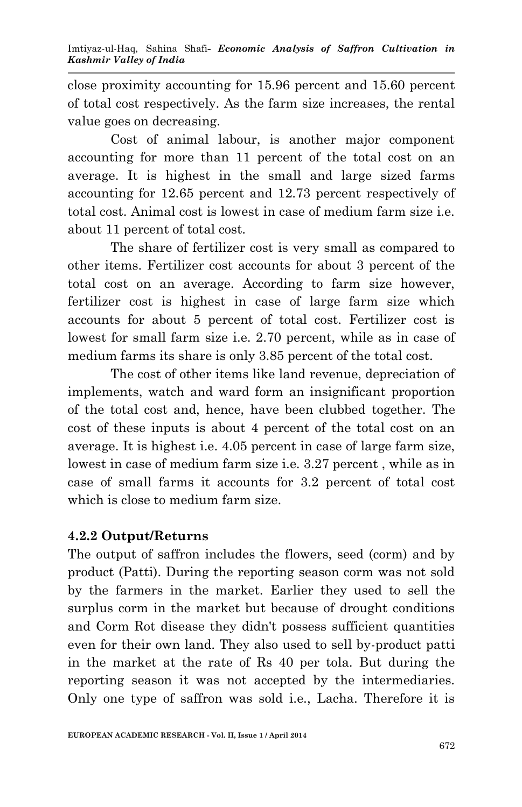close proximity accounting for 15.96 percent and 15.60 percent of total cost respectively. As the farm size increases, the rental value goes on decreasing.

Cost of animal labour, is another major component accounting for more than 11 percent of the total cost on an average. It is highest in the small and large sized farms accounting for 12.65 percent and 12.73 percent respectively of total cost. Animal cost is lowest in case of medium farm size i.e. about 11 percent of total cost.

The share of fertilizer cost is very small as compared to other items. Fertilizer cost accounts for about 3 percent of the total cost on an average. According to farm size however, fertilizer cost is highest in case of large farm size which accounts for about 5 percent of total cost. Fertilizer cost is lowest for small farm size i.e. 2.70 percent, while as in case of medium farms its share is only 3.85 percent of the total cost.

The cost of other items like land revenue, depreciation of implements, watch and ward form an insignificant proportion of the total cost and, hence, have been clubbed together. The cost of these inputs is about 4 percent of the total cost on an average. It is highest i.e. 4.05 percent in case of large farm size, lowest in case of medium farm size i.e. 3.27 percent , while as in case of small farms it accounts for 3.2 percent of total cost which is close to medium farm size.

### **4.2.2 Output/Returns**

The output of saffron includes the flowers, seed (corm) and by product (Patti). During the reporting season corm was not sold by the farmers in the market. Earlier they used to sell the surplus corm in the market but because of drought conditions and Corm Rot disease they didn't possess sufficient quantities even for their own land. They also used to sell by-product patti in the market at the rate of Rs 40 per tola. But during the reporting season it was not accepted by the intermediaries. Only one type of saffron was sold i.e., Lacha. Therefore it is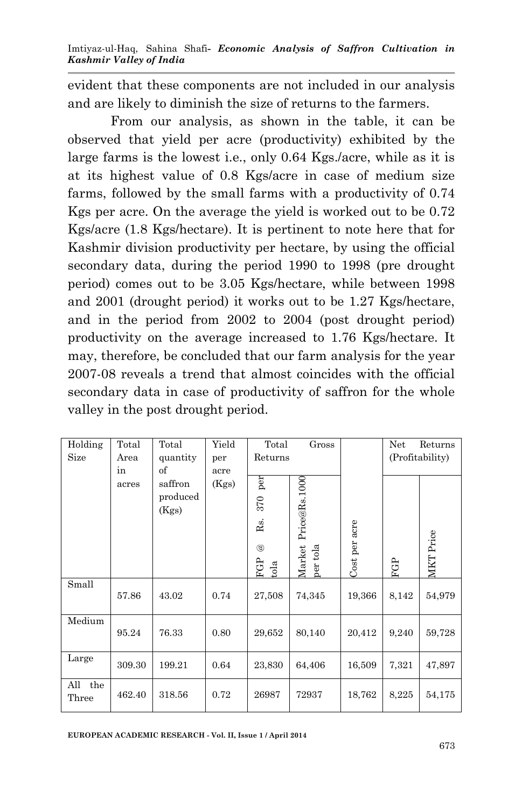evident that these components are not included in our analysis and are likely to diminish the size of returns to the farmers.

From our analysis, as shown in the table, it can be observed that yield per acre (productivity) exhibited by the large farms is the lowest i.e., only 0.64 Kgs./acre, while as it is at its highest value of 0.8 Kgs/acre in case of medium size farms, followed by the small farms with a productivity of 0.74 Kgs per acre. On the average the yield is worked out to be 0.72 Kgs/acre (1.8 Kgs/hectare). It is pertinent to note here that for Kashmir division productivity per hectare, by using the official secondary data, during the period 1990 to 1998 (pre drought period) comes out to be 3.05 Kgs/hectare, while between 1998 and 2001 (drought period) it works out to be 1.27 Kgs/hectare, and in the period from 2002 to 2004 (post drought period) productivity on the average increased to 1.76 Kgs/hectare. It may, therefore, be concluded that our farm analysis for the year 2007-08 reveals a trend that almost coincides with the official secondary data in case of productivity of saffron for the whole valley in the post drought period.

| Holding    | Total  | Total    | Yield | Total          | Gross              |               | Net   | Returns         |
|------------|--------|----------|-------|----------------|--------------------|---------------|-------|-----------------|
| Size       | Area   | quantity | per   | Returns        |                    |               |       | (Profitability) |
|            | in     | of       | acre  |                |                    |               |       |                 |
|            | acres  | saffron  | (Kgs) | per            |                    |               |       |                 |
|            |        | produced |       | 370            |                    |               |       |                 |
|            |        | (Kgs)    |       |                |                    |               |       |                 |
|            |        |          |       | Rs.            | Price@Rs.1000      | Cost per acre |       |                 |
|            |        |          |       | $^{\circledR}$ |                    |               |       | MKT Price       |
|            |        |          |       |                | Market<br>per tola |               |       |                 |
|            |        |          |       | FGP<br>tola    |                    |               | FGP   |                 |
| Small      |        |          |       |                |                    |               |       |                 |
|            | 57.86  | 43.02    | 0.74  | 27,508         | 74,345             | 19,366        | 8,142 | 54,979          |
| Medium     |        |          |       |                |                    |               |       |                 |
|            | 95.24  | 76.33    | 0.80  | 29,652         | 80,140             | 20,412        | 9,240 | 59,728          |
|            |        |          |       |                |                    |               |       |                 |
| Large      | 309.30 | 199.21   | 0.64  | 23,830         | 64,406             | 16,509        | 7,321 | 47,897          |
| the<br>All |        |          |       |                |                    |               |       |                 |
| Three      | 462.40 | 318.56   | 0.72  | 26987          | 72937              | 18,762        | 8,225 | 54,175          |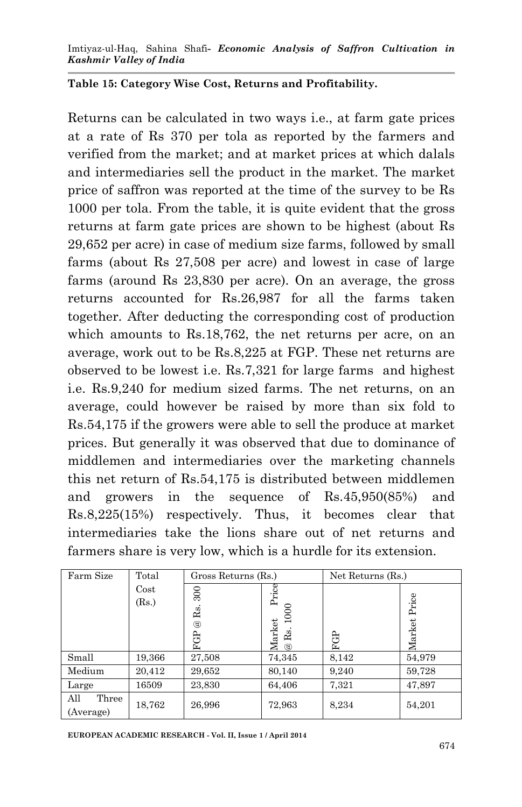#### **Table 15: Category Wise Cost, Returns and Profitability.**

Returns can be calculated in two ways i.e., at farm gate prices at a rate of Rs 370 per tola as reported by the farmers and verified from the market; and at market prices at which dalals and intermediaries sell the product in the market. The market price of saffron was reported at the time of the survey to be Rs 1000 per tola. From the table, it is quite evident that the gross returns at farm gate prices are shown to be highest (about Rs 29,652 per acre) in case of medium size farms, followed by small farms (about Rs 27,508 per acre) and lowest in case of large farms (around Rs 23,830 per acre). On an average, the gross returns accounted for Rs.26,987 for all the farms taken together. After deducting the corresponding cost of production which amounts to Rs.18,762, the net returns per acre, on an average, work out to be Rs.8,225 at FGP. These net returns are observed to be lowest i.e. Rs.7,321 for large farms and highest i.e. Rs.9,240 for medium sized farms. The net returns, on an average, could however be raised by more than six fold to Rs.54,175 if the growers were able to sell the produce at market prices. But generally it was observed that due to dominance of middlemen and intermediaries over the marketing channels this net return of Rs.54,175 is distributed between middlemen and growers in the sequence of Rs.45,950(85%) and Rs.8,225(15%) respectively. Thus, it becomes clear that intermediaries take the lions share out of net returns and farmers share is very low, which is a hurdle for its extension.

| Farm Size                 | Total  | Gross Returns (Rs.) |                                                                                | Net Returns (Rs.) |        |  |
|---------------------------|--------|---------------------|--------------------------------------------------------------------------------|-------------------|--------|--|
|                           | Cost   | 300                 | Price                                                                          |                   |        |  |
|                           | (Rs.)  | Rs.                 | 1000                                                                           |                   | Price  |  |
|                           |        | $^{\circledR}$      |                                                                                |                   |        |  |
|                           |        | සි<br>Ŀ,            | $\begin{array}{ll}\textbf{Market} \\ \text{\textregistered Rs. 10}\end{array}$ | සි<br>Œ.          | Market |  |
| Small                     | 19,366 | 27,508              | 74,345                                                                         | 8,142             | 54,979 |  |
| Medium                    | 20,412 | 29,652              | 80,140                                                                         | 9,240             | 59,728 |  |
| Large                     | 16509  | 23,830              | 64,406                                                                         | 7,321             | 47,897 |  |
| All<br>Three<br>(Average) | 18,762 | 26,996              | 72,963                                                                         | 8.234             | 54,201 |  |

**EUROPEAN ACADEMIC RESEARCH - Vol. II, Issue 1 / April 2014**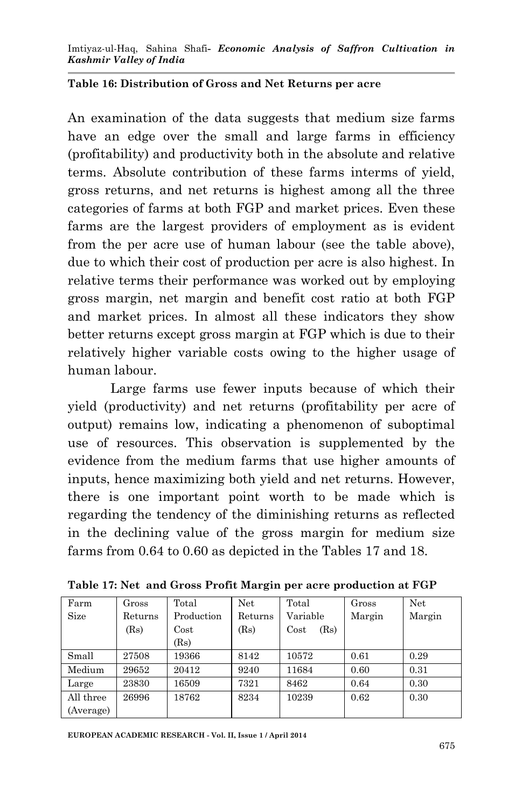#### **Table 16: Distribution of Gross and Net Returns per acre**

An examination of the data suggests that medium size farms have an edge over the small and large farms in efficiency (profitability) and productivity both in the absolute and relative terms. Absolute contribution of these farms interms of yield, gross returns, and net returns is highest among all the three categories of farms at both FGP and market prices. Even these farms are the largest providers of employment as is evident from the per acre use of human labour (see the table above), due to which their cost of production per acre is also highest. In relative terms their performance was worked out by employing gross margin, net margin and benefit cost ratio at both FGP and market prices. In almost all these indicators they show better returns except gross margin at FGP which is due to their relatively higher variable costs owing to the higher usage of human labour.

Large farms use fewer inputs because of which their yield (productivity) and net returns (profitability per acre of output) remains low, indicating a phenomenon of suboptimal use of resources. This observation is supplemented by the evidence from the medium farms that use higher amounts of inputs, hence maximizing both yield and net returns. However, there is one important point worth to be made which is regarding the tendency of the diminishing returns as reflected in the declining value of the gross margin for medium size farms from 0.64 to 0.60 as depicted in the Tables 17 and 18.

| Farm      | Gross   | Total      | Net     | Total        | Gross  | Net    |
|-----------|---------|------------|---------|--------------|--------|--------|
| Size      | Returns | Production | Returns | Variable     | Margin | Margin |
|           | (Rs)    | $\cos t$   | (Rs)    | (Rs)<br>Cost |        |        |
|           |         | (Rs)       |         |              |        |        |
| Small     | 27508   | 19366      | 8142    | 10572        | 0.61   | 0.29   |
| Medium    | 29652   | 20412      | 9240    | 11684        | 0.60   | 0.31   |
| Large     | 23830   | 16509      | 7321    | 8462         | 0.64   | 0.30   |
| All three | 26996   | 18762      | 8234    | 10239        | 0.62   | 0.30   |
| (Average) |         |            |         |              |        |        |

**Table 17: Net and Gross Profit Margin per acre production at FGP**

**EUROPEAN ACADEMIC RESEARCH - Vol. II, Issue 1 / April 2014**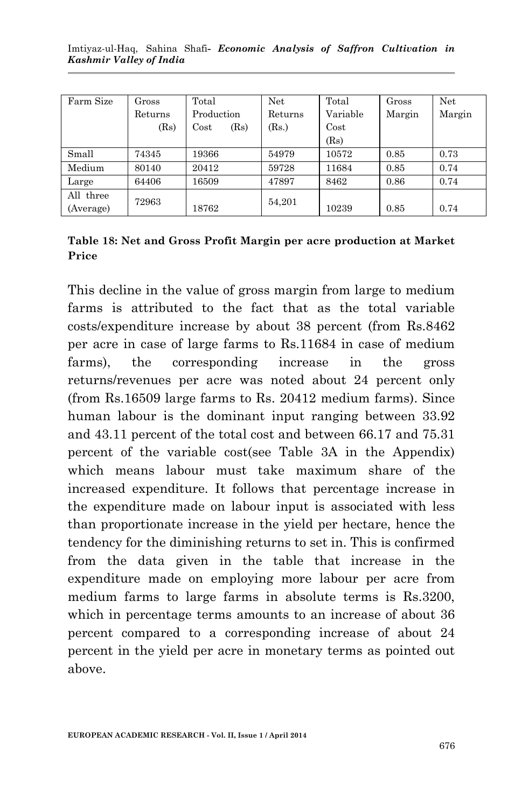| Farm Size | Gross   | Total        | Net     | Total    | Gross  | Net    |
|-----------|---------|--------------|---------|----------|--------|--------|
|           | Returns | Production   | Returns | Variable | Margin | Margin |
|           | (Rs)    | (Rs)<br>Cost | (Rs.)   | Cost     |        |        |
|           |         |              |         | (Rs)     |        |        |
| Small     | 74345   | 19366        | 54979   | 10572    | 0.85   | 0.73   |
| Medium    | 80140   | 20412        | 59728   | 11684    | 0.85   | 0.74   |
| Large     | 64406   | 16509        | 47897   | 8462     | 0.86   | 0.74   |
| All three | 72963   |              | 54.201  |          |        |        |
| (Average) |         | 18762        |         | 10239    | 0.85   | 0.74   |

**Table 18: Net and Gross Profit Margin per acre production at Market Price** 

This decline in the value of gross margin from large to medium farms is attributed to the fact that as the total variable costs/expenditure increase by about 38 percent (from Rs.8462 per acre in case of large farms to Rs.11684 in case of medium farms), the corresponding increase in the gross returns/revenues per acre was noted about 24 percent only (from Rs.16509 large farms to Rs. 20412 medium farms). Since human labour is the dominant input ranging between 33.92 and 43.11 percent of the total cost and between 66.17 and 75.31 percent of the variable cost(see Table 3A in the Appendix) which means labour must take maximum share of the increased expenditure. It follows that percentage increase in the expenditure made on labour input is associated with less than proportionate increase in the yield per hectare, hence the tendency for the diminishing returns to set in. This is confirmed from the data given in the table that increase in the expenditure made on employing more labour per acre from medium farms to large farms in absolute terms is Rs.3200, which in percentage terms amounts to an increase of about 36 percent compared to a corresponding increase of about 24 percent in the yield per acre in monetary terms as pointed out above.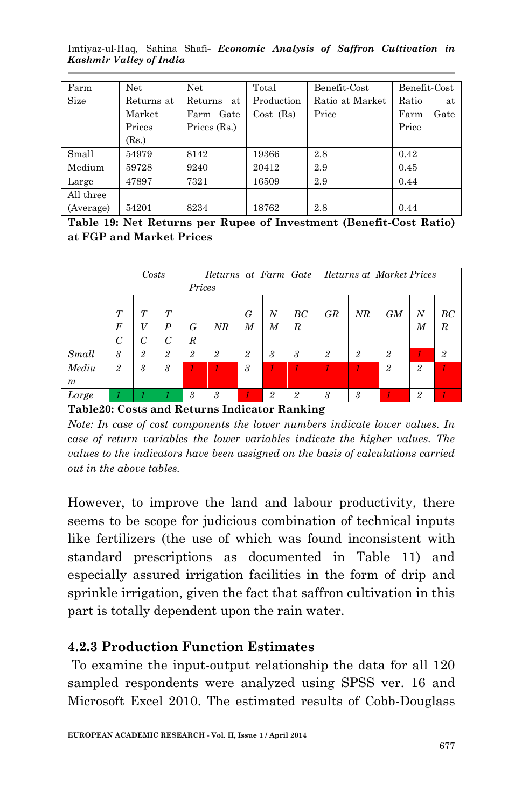Imtiyaz-ul-Haq, Sahina Shafi*- Economic Analysis of Saffron Cultivation in Kashmir Valley of India*

| Farm      | Net        | Net            | Total       | Benefit Cost    | Benefit Cost |
|-----------|------------|----------------|-------------|-----------------|--------------|
| Size      | Returns at | Returns<br>at  | Production  | Ratio at Market | Ratio<br>at  |
|           | Market     | Farm Gate      | $Cost$ (Rs) | Price           | Farm<br>Gate |
|           | Prices     | Prices $(Rs.)$ |             |                 | Price        |
|           | (Rs.)      |                |             |                 |              |
| Small     | 54979      | 8142           | 19366       | 2.8             | 0.42         |
| Medium    | 59728      | 9240           | 20412       | 2.9             | 0.45         |
| Large     | 47897      | 7321           | 16509       | 2.9             | 0.44         |
| All three |            |                |             |                 |              |
| (Average) | 54201      | 8234           | 18762       | 2.8             | 0.44         |

**Table 19: Net Returns per Rupee of Investment (Benefit-Cost Ratio) at FGP and Market Prices**

|                  |                  | Costs |                  |                  | Returns at Farm Gate |                            |                  |    | Returns at Market Prices |                |    |                |                |
|------------------|------------------|-------|------------------|------------------|----------------------|----------------------------|------------------|----|--------------------------|----------------|----|----------------|----------------|
|                  |                  |       |                  |                  | Prices               |                            |                  |    |                          |                |    |                |                |
|                  |                  |       |                  |                  |                      |                            |                  |    |                          |                |    |                |                |
|                  | T                | T     | T                |                  |                      | G                          | N                | BC | GR                       | NR             | GM | N              | BC             |
|                  | $\boldsymbol{F}$ | V     | $\boldsymbol{P}$ | G                | NR                   | M                          | $\boldsymbol{M}$ | R  |                          |                |    | М              | R              |
|                  | $\mathcal{C}$    | C     | C                | $\boldsymbol{R}$ |                      |                            |                  |    |                          |                |    |                |                |
| Small            | 3                | 2     | $\overline{2}$   | $\overline{2}$   | $\overline{2}$       | $\overline{2}$             | 3                | 3  | $\overline{2}$           | $\overline{2}$ | 2  |                | $\overline{2}$ |
| Mediu            | $\overline{2}$   | 3     | 3                |                  |                      | $\boldsymbol{\mathcal{S}}$ |                  |    |                          |                | 2  | $\overline{2}$ |                |
| $\boldsymbol{m}$ |                  |       |                  |                  |                      |                            |                  |    |                          |                |    |                |                |
| Large            |                  |       |                  | 3                | 3                    |                            | 2                | 2  | 3                        | 3              |    | 2              |                |

**Table20: Costs and Returns Indicator Ranking**

*Note: In case of cost components the lower numbers indicate lower values. In case of return variables the lower variables indicate the higher values. The values to the indicators have been assigned on the basis of calculations carried out in the above tables.*

However, to improve the land and labour productivity, there seems to be scope for judicious combination of technical inputs like fertilizers (the use of which was found inconsistent with standard prescriptions as documented in Table 11) and especially assured irrigation facilities in the form of drip and sprinkle irrigation, given the fact that saffron cultivation in this part is totally dependent upon the rain water.

#### **4.2.3 Production Function Estimates**

To examine the input-output relationship the data for all 120 sampled respondents were analyzed using SPSS ver. 16 and Microsoft Excel 2010. The estimated results of Cobb-Douglass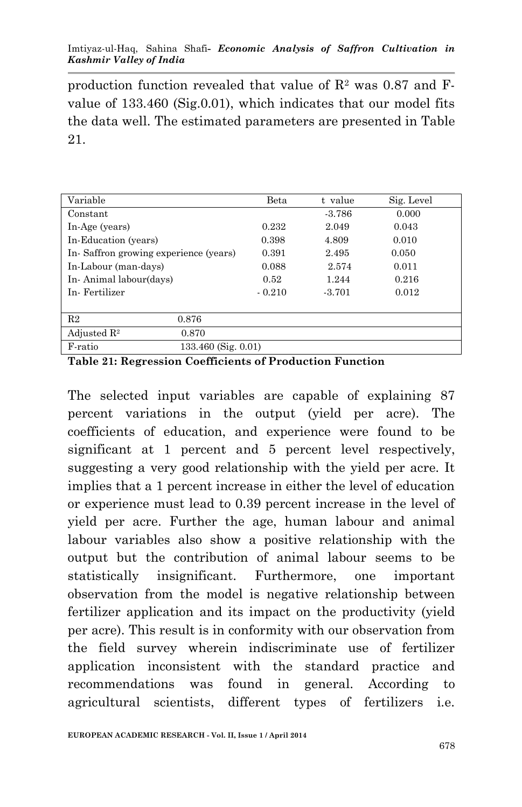#### Imtiyaz-ul-Haq, Sahina Shafi*- Economic Analysis of Saffron Cultivation in Kashmir Valley of India*

production function revealed that value of  $\mathbb{R}^2$  was 0.87 and Fvalue of 133.460 (Sig.0.01), which indicates that our model fits the data well. The estimated parameters are presented in Table 21.

| Variable                              |                     | Beta     | t value  | Sig. Level |
|---------------------------------------|---------------------|----------|----------|------------|
| Constant                              |                     |          | $-3.786$ | 0.000      |
| In-Age (years)                        |                     | 0.232    | 2.049    | 0.043      |
| In-Education (years)                  |                     | 0.398    | 4.809    | 0.010      |
| In-Saffron growing experience (years) |                     | 0.391    | 2.495    | 0.050      |
| In-Labour (man-days)                  |                     | 0.088    | 2.574    | 0.011      |
| In-Animal labour(days)                |                     | 0.52     | 1.244    | 0.216      |
| In Fertilizer                         |                     | $-0.210$ | $-3.701$ | 0.012      |
|                                       |                     |          |          |            |
| R <sub>2</sub>                        | 0.876               |          |          |            |
| Adjusted $\mathbb{R}^2$               | 0.870               |          |          |            |
| F-ratio                               | 133.460 (Sig. 0.01) |          |          |            |

**Table 21: Regression Coefficients of Production Function**

The selected input variables are capable of explaining 87 percent variations in the output (yield per acre). The coefficients of education, and experience were found to be significant at 1 percent and 5 percent level respectively, suggesting a very good relationship with the yield per acre. It implies that a 1 percent increase in either the level of education or experience must lead to 0.39 percent increase in the level of yield per acre. Further the age, human labour and animal labour variables also show a positive relationship with the output but the contribution of animal labour seems to be statistically insignificant. Furthermore, one important observation from the model is negative relationship between fertilizer application and its impact on the productivity (yield per acre). This result is in conformity with our observation from the field survey wherein indiscriminate use of fertilizer application inconsistent with the standard practice and recommendations was found in general. According to agricultural scientists, different types of fertilizers i.e.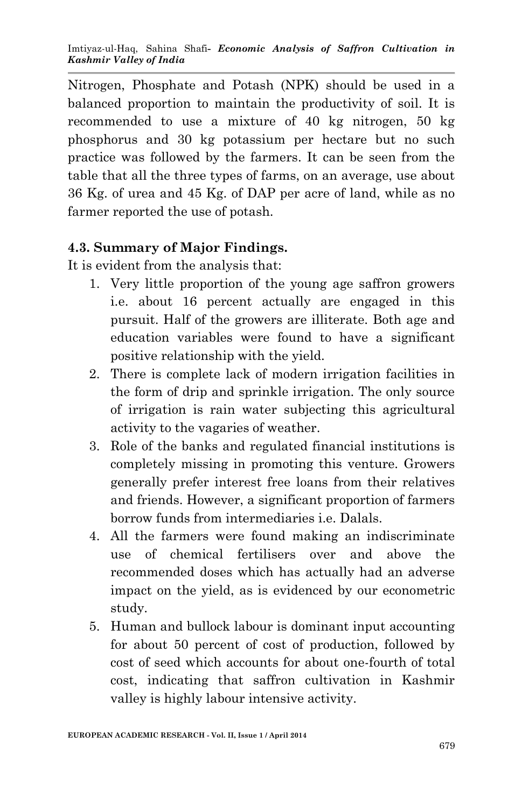Nitrogen, Phosphate and Potash (NPK) should be used in a balanced proportion to maintain the productivity of soil. It is recommended to use a mixture of 40 kg nitrogen, 50 kg phosphorus and 30 kg potassium per hectare but no such practice was followed by the farmers. It can be seen from the table that all the three types of farms, on an average, use about 36 Kg. of urea and 45 Kg. of DAP per acre of land, while as no farmer reported the use of potash.

### **4.3. Summary of Major Findings.**

It is evident from the analysis that:

- 1. Very little proportion of the young age saffron growers i.e. about 16 percent actually are engaged in this pursuit. Half of the growers are illiterate. Both age and education variables were found to have a significant positive relationship with the yield.
- 2. There is complete lack of modern irrigation facilities in the form of drip and sprinkle irrigation. The only source of irrigation is rain water subjecting this agricultural activity to the vagaries of weather.
- 3. Role of the banks and regulated financial institutions is completely missing in promoting this venture. Growers generally prefer interest free loans from their relatives and friends. However, a significant proportion of farmers borrow funds from intermediaries i.e. Dalals.
- 4. All the farmers were found making an indiscriminate use of chemical fertilisers over and above the recommended doses which has actually had an adverse impact on the yield, as is evidenced by our econometric study.
- 5. Human and bullock labour is dominant input accounting for about 50 percent of cost of production, followed by cost of seed which accounts for about one-fourth of total cost, indicating that saffron cultivation in Kashmir valley is highly labour intensive activity.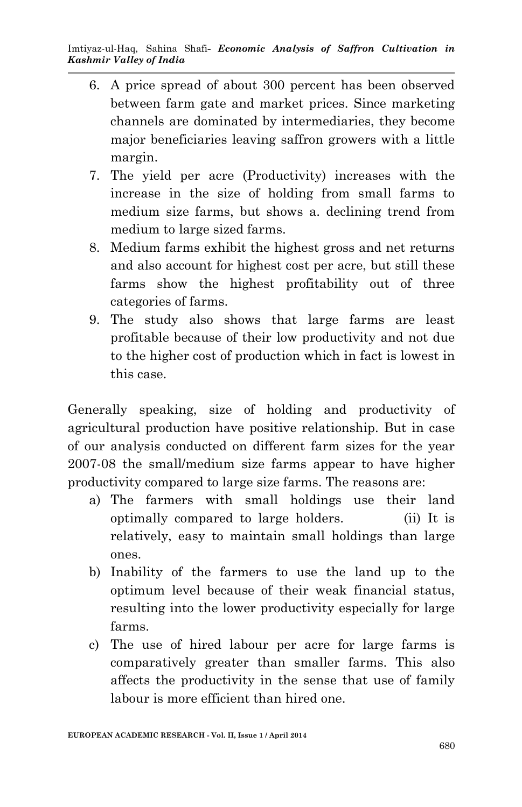- 6. A price spread of about 300 percent has been observed between farm gate and market prices. Since marketing channels are dominated by intermediaries, they become major beneficiaries leaving saffron growers with a little margin.
- 7. The yield per acre (Productivity) increases with the increase in the size of holding from small farms to medium size farms, but shows a. declining trend from medium to large sized farms.
- 8. Medium farms exhibit the highest gross and net returns and also account for highest cost per acre, but still these farms show the highest profitability out of three categories of farms.
- 9. The study also shows that large farms are least profitable because of their low productivity and not due to the higher cost of production which in fact is lowest in this case.

Generally speaking, size of holding and productivity of agricultural production have positive relationship. But in case of our analysis conducted on different farm sizes for the year 2007-08 the small/medium size farms appear to have higher productivity compared to large size farms. The reasons are:

- a) The farmers with small holdings use their land optimally compared to large holders. (ii) It is relatively, easy to maintain small holdings than large ones.
- b) Inability of the farmers to use the land up to the optimum level because of their weak financial status, resulting into the lower productivity especially for large farms.
- c) The use of hired labour per acre for large farms is comparatively greater than smaller farms. This also affects the productivity in the sense that use of family labour is more efficient than hired one.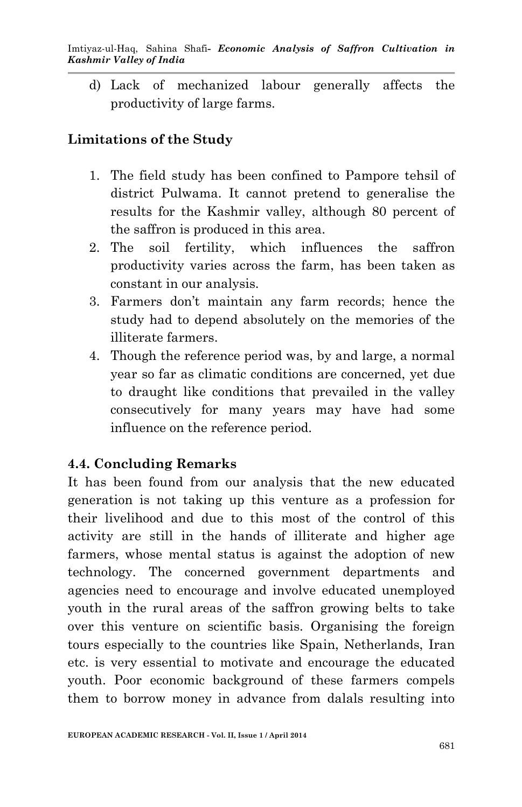d) Lack of mechanized labour generally affects the productivity of large farms.

# **Limitations of the Study**

- 1. The field study has been confined to Pampore tehsil of district Pulwama. It cannot pretend to generalise the results for the Kashmir valley, although 80 percent of the saffron is produced in this area.
- 2. The soil fertility, which influences the saffron productivity varies across the farm, has been taken as constant in our analysis.
- 3. Farmers don't maintain any farm records; hence the study had to depend absolutely on the memories of the illiterate farmers.
- 4. Though the reference period was, by and large, a normal year so far as climatic conditions are concerned, yet due to draught like conditions that prevailed in the valley consecutively for many years may have had some influence on the reference period.

## **4.4. Concluding Remarks**

It has been found from our analysis that the new educated generation is not taking up this venture as a profession for their livelihood and due to this most of the control of this activity are still in the hands of illiterate and higher age farmers, whose mental status is against the adoption of new technology. The concerned government departments and agencies need to encourage and involve educated unemployed youth in the rural areas of the saffron growing belts to take over this venture on scientific basis. Organising the foreign tours especially to the countries like Spain, Netherlands, Iran etc. is very essential to motivate and encourage the educated youth. Poor economic background of these farmers compels them to borrow money in advance from dalals resulting into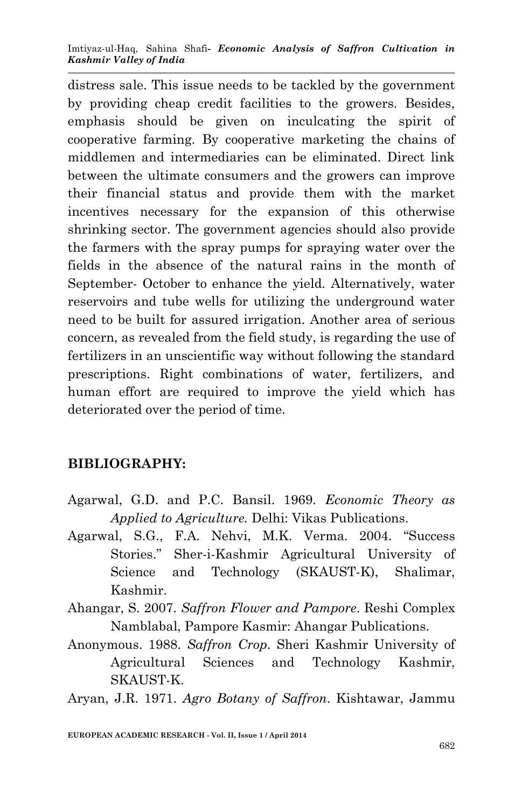distress sale. This issue needs to be tackled by the government by providing cheap credit facilities to the growers. Besides, emphasis should be given on inculcating the spirit of cooperative farming. By cooperative marketing the chains of middlemen and intermediaries can be eliminated. Direct link between the ultimate consumers and the growers can improve their financial status and provide them with the market incentives necessary for the expansion of this otherwise shrinking sector. The government agencies should also provide the farmers with the spray pumps for spraying water over the fields in the absence of the natural rains in the month of September- October to enhance the yield. Alternatively, water reservoirs and tube wells for utilizing the underground water need to be built for assured irrigation. Another area of serious concern, as revealed from the field study, is regarding the use of fertilizers in an unscientific way without following the standard prescriptions. Right combinations of water, fertilizers, and human effort are required to improve the yield which has deteriorated over the period of time.

## **BIBLIOGRAPHY:**

- Agarwal, G.D. and P.C. Bansil. 1969. *Economic Theory as Applied to Agriculture.* Delhi: Vikas Publications.
- Agarwal, S.G., F.A. Nehvi, M.K. Verma. 2004. "Success Stories." Sher-i-Kashmir Agricultural University of Science and Technology (SKAUST-K), Shalimar, Kashmir.
- Ahangar, S. 2007. *Saffron Flower and Pampore*. Reshi Complex Namblabal, Pampore Kasmir: Ahangar Publications.
- Anonymous. 1988. *Saffron Crop*. Sheri Kashmir University of Agricultural Sciences and Technology Kashmir, SKAUST-K.

Aryan, J.R. 1971. *Agro Botany of Saffron*. Kishtawar, Jammu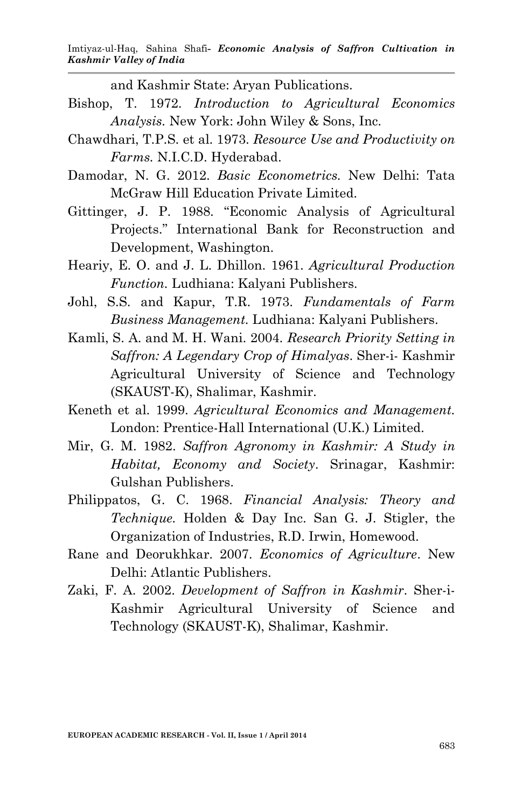and Kashmir State: Aryan Publications.

- Bishop, T. 1972. *Introduction to Agricultural Economics Analysis.* New York: John Wiley & Sons, Inc.
- Chawdhari, T.P.S. et al. 1973. *Resource Use and Productivity on Farms.* N.I.C.D. Hyderabad.
- Damodar, N. G. 2012. *Basic Econometrics.* New Delhi: Tata McGraw Hill Education Private Limited.
- Gittinger, J. P. 1988. "Economic Analysis of Agricultural Projects." International Bank for Reconstruction and Development, Washington.
- Heariy, E. O. and J. L. Dhillon. 1961. *Agricultural Production Function.* Ludhiana: Kalyani Publishers.
- Johl, S.S. and Kapur, T.R. 1973. *Fundamentals of Farm Business Management.* Ludhiana: Kalyani Publishers.
- Kamli, S. A. and M. H. Wani. 2004. *Research Priority Setting in Saffron: A Legendary Crop of Himalyas*. Sher-i- Kashmir Agricultural University of Science and Technology (SKAUST-K), Shalimar, Kashmir.
- Keneth et al. 1999. *Agricultural Economics and Management.* London: Prentice-Hall International (U.K.) Limited.
- Mir, G. M. 1982. *Saffron Agronomy in Kashmir: A Study in Habitat, Economy and Society*. Srinagar, Kashmir: Gulshan Publishers.
- Philippatos, G. C. 1968. *Financial Analysis: Theory and Technique.* Holden & Day Inc. San G. J. Stigler, the Organization of Industries, R.D. Irwin, Homewood.
- Rane and Deorukhkar. 2007. *Economics of Agriculture*. New Delhi: Atlantic Publishers.
- Zaki, F. A. 2002. *Development of Saffron in Kashmir*. Sher-i-Kashmir Agricultural University of Science and Technology (SKAUST-K), Shalimar, Kashmir.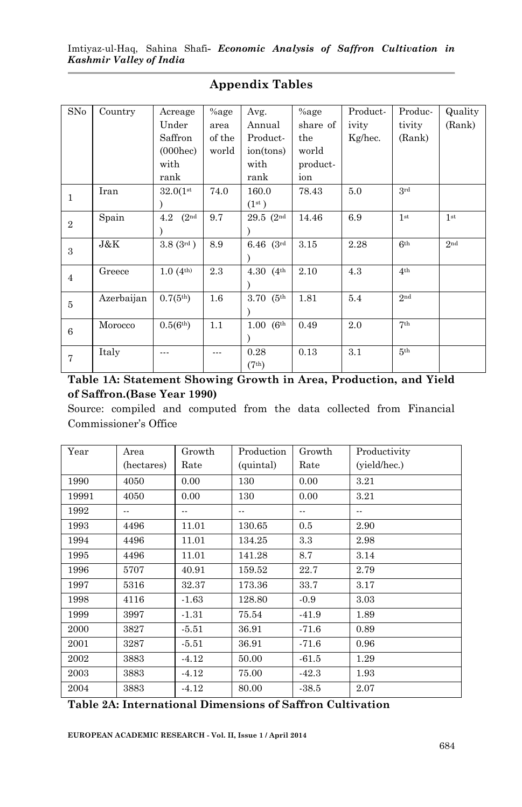| SNo            | Country    | Acreage                   | $%$ age | Avg.               | $%$ age  | Product- | Produc-         | Quality         |
|----------------|------------|---------------------------|---------|--------------------|----------|----------|-----------------|-----------------|
|                |            | Under                     | area    | Annual             | share of | ivity    | tivity          | (Rank)          |
|                |            | Saffron                   | of the  | Product-           | the      | Kg/hec.  | (Rank)          |                 |
|                |            | $(000$ hec $)$            | world   | ion(tons)          | world    |          |                 |                 |
|                |            | with                      |         | with               | product- |          |                 |                 |
|                |            | rank                      |         | rank               | ion      |          |                 |                 |
| $\mathbf{1}$   | Iran       | 32.0(1st)                 | 74.0    | 160.0              | 78.43    | 5.0      | 3rd             |                 |
|                |            |                           |         | (1 <sup>st</sup> ) |          |          |                 |                 |
| $\overline{2}$ | Spain      | (2 <sup>nd</sup> )<br>4.2 | 9.7     | $29.5$ $(2nd$      | 14.46    | 6.9      | 1 <sub>st</sub> | 1 <sub>st</sub> |
|                |            |                           |         |                    |          |          |                 |                 |
| 3              | J&K        | 3.8(3 <sup>rd</sup> )     | 8.9     | $6.46$ $(3^{rd}$   | 3.15     | 2.28     | 6 <sup>th</sup> | 2 <sup>nd</sup> |
|                |            |                           |         |                    |          |          |                 |                 |
|                | Greece     | $1.0(4^{\text{th}})$      | 2.3     | 4.30 $(4^{th})$    | 2.10     | 4.3      | 4 <sup>th</sup> |                 |
| $\overline{4}$ |            |                           |         |                    |          |          |                 |                 |
| 5              | Azerbaijan | $0.7(5^{th})$             | $1.6\,$ | $3.70(5$ th        | 1.81     | 5.4      | 2nd             |                 |
|                |            |                           |         |                    |          |          |                 |                 |
| 6              | Morocco    | 0.5(6 <sup>th</sup> )     | 1.1     | $1.00\; (6^{th}$   | 0.49     | 2.0      | 7 <sup>th</sup> |                 |
|                |            |                           |         |                    |          |          |                 |                 |
| $\overline{7}$ | Italy      |                           |         | 0.28               | 0.13     | 3.1      | 5 <sup>th</sup> |                 |
|                |            |                           |         | (7 <sup>th</sup> ) |          |          |                 |                 |

#### **Appendix Tables**

**Table 1A: Statement Showing Growth in Area, Production, and Yield of Saffron.(Base Year 1990)** 

Source: compiled and computed from the data collected from Financial Commissioner's Office

| Year  | Area<br>(hectares) | Growth<br>Rate | Production<br>(quintal)  | Growth<br>Rate | Productivity<br>(yield/hec.) |
|-------|--------------------|----------------|--------------------------|----------------|------------------------------|
| 1990  | 4050               | 0.00           | 130                      | 0.00           | 3.21                         |
| 19991 | 4050               | 0.00           | 130                      | 0.00           | 3.21                         |
| 1992  | --                 | --             | $\overline{\phantom{a}}$ |                | $- -$                        |
| 1993  | 4496               | 11.01          | 130.65                   | 0.5            | 2.90                         |
| 1994  | 4496               | 11.01          | 134.25                   | 3.3            | 2.98                         |
| 1995  | 4496               | 11.01          | 141.28                   | 8.7            | 3.14                         |
| 1996  | 5707               | 40.91          | 159.52                   | 22.7           | 2.79                         |
| 1997  | 5316               | 32.37          | 173.36                   | 33.7           | 3.17                         |
| 1998  | 4116               | $-1.63$        | 128.80                   | $-0.9$         | 3.03                         |
| 1999  | 3997               | $-1.31$        | 75.54                    | $-41.9$        | 1.89                         |
| 2000  | 3827               | $-5.51$        | 36.91                    | $-71.6$        | 0.89                         |
| 2001  | 3287               | $-5.51$        | 36.91                    | $-71.6$        | 0.96                         |
| 2002  | 3883               | $-4.12$        | 50.00                    | $-61.5$        | 1.29                         |
| 2003  | 3883               | $-4.12$        | 75.00                    | $-42.3$        | 1.93                         |
| 2004  | 3883               | $-4.12$        | 80.00                    | $-38.5$        | 2.07                         |

#### **Table 2A: International Dimensions of Saffron Cultivation**

**EUROPEAN ACADEMIC RESEARCH - Vol. II, Issue 1 / April 2014**